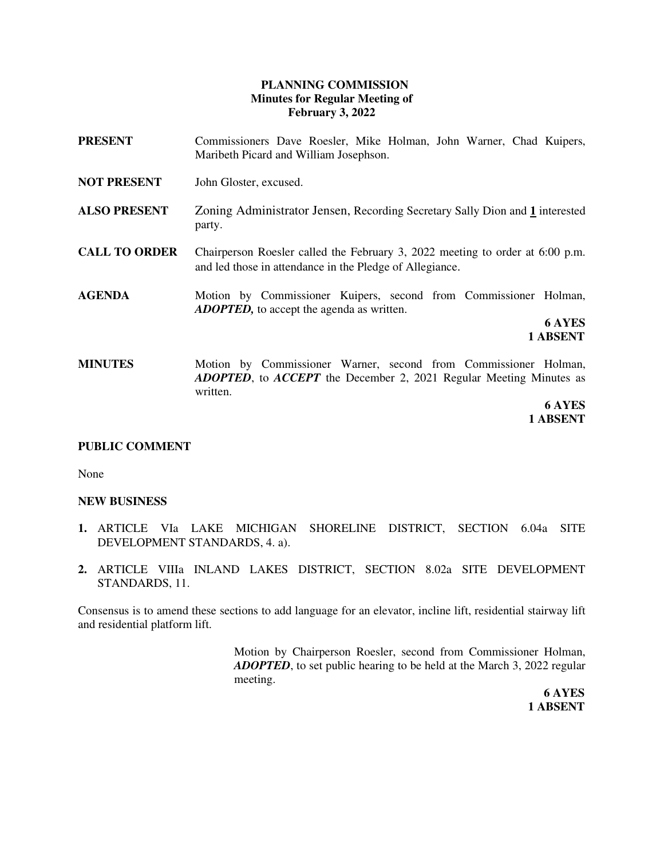## **PLANNING COMMISSION Minutes for Regular Meeting of February 3, 2022**

- **PRESENT** Commissioners Dave Roesler, Mike Holman, John Warner, Chad Kuipers, Maribeth Picard and William Josephson.
- **NOT PRESENT** John Gloster, excused.
- **ALSO PRESENT** Zoning Administrator Jensen, Recording Secretary Sally Dion and **1** interested party.
- **CALL TO ORDER** Chairperson Roesler called the February 3, 2022 meeting to order at 6:00 p.m. and led those in attendance in the Pledge of Allegiance.
- **AGENDA** Motion by Commissioner Kuipers, second from Commissioner Holman, *ADOPTED,* to accept the agenda as written.

**6 AYES 1 ABSENT**

**MINUTES** Motion by Commissioner Warner, second from Commissioner Holman, *ADOPTED*, to *ACCEPT* the December 2, 2021 Regular Meeting Minutes as written.

> **6 AYES 1 ABSENT**

#### **PUBLIC COMMENT**

None

#### **NEW BUSINESS**

- **1.** ARTICLE VIa LAKE MICHIGAN SHORELINE DISTRICT, SECTION 6.04a SITE DEVELOPMENT STANDARDS, 4. a).
- **2.** ARTICLE VIIIa INLAND LAKES DISTRICT, SECTION 8.02a SITE DEVELOPMENT STANDARDS, 11.

Consensus is to amend these sections to add language for an elevator, incline lift, residential stairway lift and residential platform lift.

> Motion by Chairperson Roesler, second from Commissioner Holman, *ADOPTED*, to set public hearing to be held at the March 3, 2022 regular meeting.

 **6 AYES 1 ABSENT**